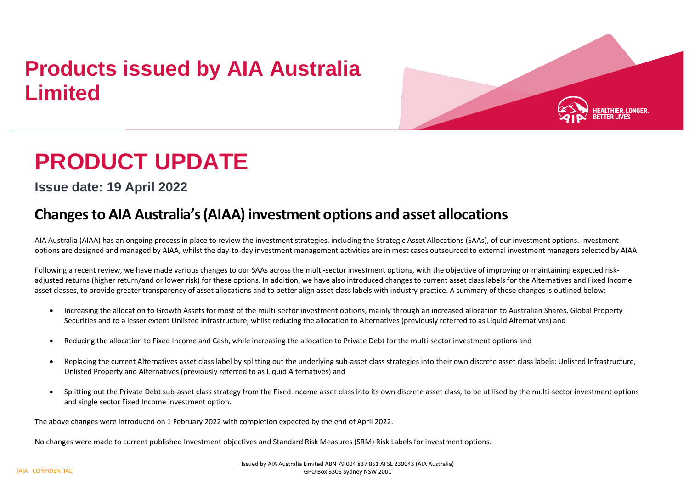## **Products issued by AIA Australia Limited**



# **PRODUCT UPDATE**

**Issue date: 19 April 2022**

## **Changesto AIA Australia's(AIAA)investment options and asset allocations**

AIA Australia (AIAA) has an ongoing process in place to review the investment strategies, including the Strategic Asset Allocations (SAAs), of our investment options. Investment options are designed and managed by AIAA, whilst the day-to-day investment management activities are in most cases outsourced to external investment managers selected by AIAA.

Following a recent review, we have made various changes to our SAAs across the multi-sector investment options, with the objective of improving or maintaining expected riskadjusted returns (higher return/and or lower risk) for these options. In addition, we have also introduced changes to current asset class labels for the Alternatives and Fixed Income asset classes, to provide greater transparency of asset allocations and to better align asset class labels with industry practice. A summary of these changes is outlined below:

- Increasing the allocation to Growth Assets for most of the multi-sector investment options, mainly through an increased allocation to Australian Shares, Global Property Securities and to a lesser extent Unlisted Infrastructure, whilst reducing the allocation to Alternatives (previously referred to as Liquid Alternatives) and
- Reducing the allocation to Fixed Income and Cash, while increasing the allocation to Private Debt for the multi-sector investment options and
- Replacing the current Alternatives asset class label by splitting out the underlying sub-asset class strategies into their own discrete asset class labels: Unlisted Infrastructure, Unlisted Property and Alternatives (previously referred to as Liquid Alternatives) and
- Splitting out the Private Debt sub-asset class strategy from the Fixed Income asset class into its own discrete asset class, to be utilised by the multi-sector investment options and single sector Fixed Income investment option.

The above changes were introduced on 1 February 2022 with completion expected by the end of April 2022.

No changes were made to current published Investment objectives and Standard Risk Measures (SRM) Risk Labels for investment options.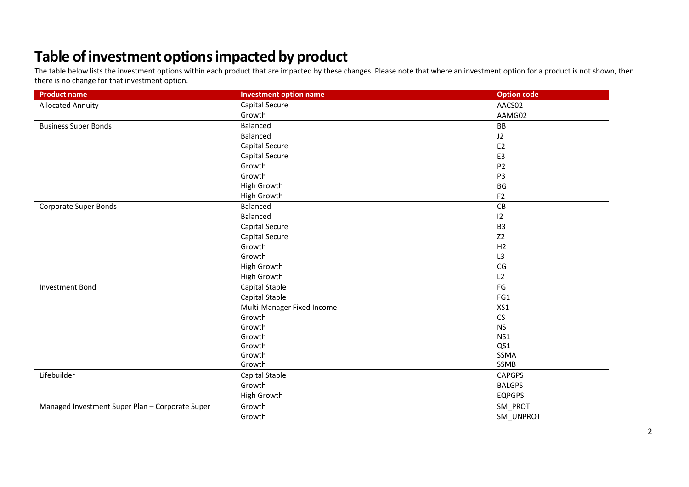## **Table ofinvestment optionsimpacted by product**

The table below lists the investment options within each product that are impacted by these changes. Please note that where an investment option for a product is not shown, then there is no change for that investment option.

| <b>Product name</b>                             | <b>Investment option name</b> | <b>Option code</b> |
|-------------------------------------------------|-------------------------------|--------------------|
| <b>Allocated Annuity</b>                        | Capital Secure                | AACS02             |
|                                                 | Growth                        | AAMG02             |
| <b>Business Super Bonds</b>                     | Balanced                      | BB                 |
|                                                 | Balanced                      | J2                 |
|                                                 | Capital Secure                | E <sub>2</sub>     |
|                                                 | Capital Secure                | E3                 |
|                                                 | Growth                        | P <sub>2</sub>     |
|                                                 | Growth                        | P <sub>3</sub>     |
|                                                 | High Growth                   | BG                 |
|                                                 | High Growth                   | F <sub>2</sub>     |
| Corporate Super Bonds                           | Balanced                      | CB                 |
|                                                 | Balanced                      | 12                 |
|                                                 | Capital Secure                | B <sub>3</sub>     |
|                                                 | Capital Secure                | Z <sub>2</sub>     |
|                                                 | Growth                        | H2                 |
|                                                 | Growth                        | L3                 |
|                                                 | High Growth                   | CG                 |
|                                                 | High Growth                   | L2                 |
| <b>Investment Bond</b>                          | Capital Stable                | FG                 |
|                                                 | Capital Stable                | FG1                |
|                                                 | Multi-Manager Fixed Income    | XS1                |
|                                                 | Growth                        | CS                 |
|                                                 | Growth                        | <b>NS</b>          |
|                                                 | Growth                        | NS1                |
|                                                 | Growth                        | QS1                |
|                                                 | Growth                        | SSMA               |
|                                                 | Growth                        | SSMB               |
| Lifebuilder                                     | Capital Stable                | <b>CAPGPS</b>      |
|                                                 | Growth                        | <b>BALGPS</b>      |
|                                                 | High Growth                   | <b>EQPGPS</b>      |
| Managed Investment Super Plan - Corporate Super | Growth                        | SM_PROT            |
|                                                 | Growth                        | SM UNPROT          |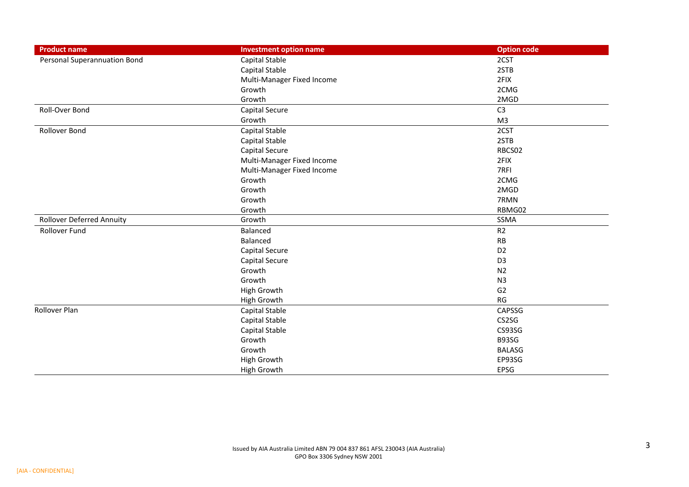| <b>Product name</b>              | <b>Investment option name</b> | <b>Option code</b> |
|----------------------------------|-------------------------------|--------------------|
| Personal Superannuation Bond     | Capital Stable                | 2CST               |
|                                  | Capital Stable                | 2STB               |
|                                  | Multi-Manager Fixed Income    | 2FIX               |
|                                  | Growth                        | 2CMG               |
|                                  | Growth                        | 2MGD               |
| Roll-Over Bond                   | <b>Capital Secure</b>         | C <sub>3</sub>     |
|                                  | Growth                        | M <sub>3</sub>     |
| Rollover Bond                    | Capital Stable                | 2CST               |
|                                  | Capital Stable                | 2STB               |
|                                  | <b>Capital Secure</b>         | RBCS02             |
|                                  | Multi-Manager Fixed Income    | 2FIX               |
|                                  | Multi-Manager Fixed Income    | 7RFI               |
|                                  | Growth                        | 2CMG               |
|                                  | Growth                        | 2MGD               |
|                                  | Growth                        | 7RMN               |
|                                  | Growth                        | RBMG02             |
| <b>Rollover Deferred Annuity</b> | Growth                        | SSMA               |
| Rollover Fund                    | Balanced                      | R2                 |
|                                  | Balanced                      | RB                 |
|                                  | <b>Capital Secure</b>         | D <sub>2</sub>     |
|                                  | <b>Capital Secure</b>         | D <sub>3</sub>     |
|                                  | Growth                        | N <sub>2</sub>     |
|                                  | Growth                        | N <sub>3</sub>     |
|                                  | High Growth                   | G <sub>2</sub>     |
|                                  | High Growth                   | RG                 |
| Rollover Plan                    | Capital Stable                | CAPSSG             |
|                                  | Capital Stable                | CS2SG              |
|                                  | Capital Stable                | CS93SG             |
|                                  | Growth                        | B93SG              |
|                                  | Growth                        | <b>BALASG</b>      |
|                                  | High Growth                   | EP93SG             |
|                                  | High Growth                   | EPSG               |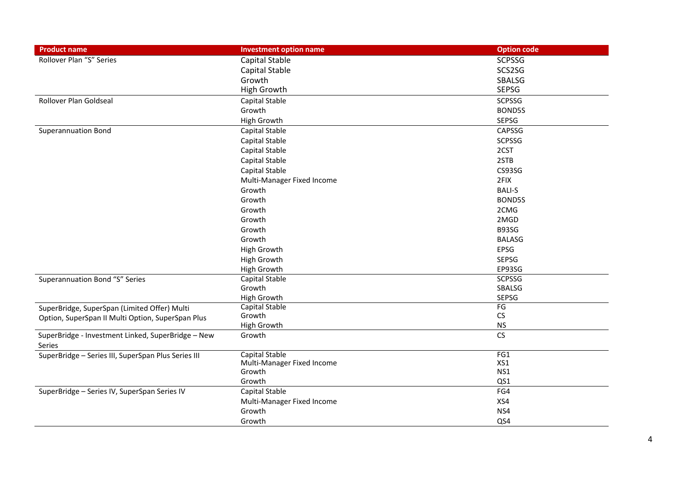| <b>Product name</b>                                 | <b>Investment option name</b> | <b>Option code</b> |
|-----------------------------------------------------|-------------------------------|--------------------|
| Rollover Plan "S" Series                            | Capital Stable                | <b>SCPSSG</b>      |
|                                                     | Capital Stable                | SCS2SG             |
|                                                     | Growth                        | SBALSG             |
|                                                     | <b>High Growth</b>            | <b>SEPSG</b>       |
| Rollover Plan Goldseal                              | Capital Stable                | <b>SCPSSG</b>      |
|                                                     | Growth                        | BOND5S             |
|                                                     | <b>High Growth</b>            | SEPSG              |
| <b>Superannuation Bond</b>                          | Capital Stable                | CAPSSG             |
|                                                     | Capital Stable                | <b>SCPSSG</b>      |
|                                                     | Capital Stable                | 2CST               |
|                                                     | Capital Stable                | 2STB               |
|                                                     | Capital Stable                | CS93SG             |
|                                                     | Multi-Manager Fixed Income    | 2FIX               |
|                                                     | Growth                        | <b>BALI-S</b>      |
|                                                     | Growth                        | BOND5S             |
|                                                     | Growth                        | 2CMG               |
|                                                     | Growth                        | 2MGD               |
|                                                     | Growth                        | B93SG              |
|                                                     | Growth                        | <b>BALASG</b>      |
|                                                     | <b>High Growth</b>            | EPSG               |
|                                                     | <b>High Growth</b>            | SEPSG              |
|                                                     | <b>High Growth</b>            | EP93SG             |
| Superannuation Bond "S" Series                      | Capital Stable                | <b>SCPSSG</b>      |
|                                                     | Growth                        | SBALSG             |
|                                                     | <b>High Growth</b>            | SEPSG              |
| SuperBridge, SuperSpan (Limited Offer) Multi        | Capital Stable                | FG                 |
| Option, SuperSpan II Multi Option, SuperSpan Plus   | Growth                        | CS                 |
|                                                     | <b>High Growth</b>            | <b>NS</b>          |
| SuperBridge - Investment Linked, SuperBridge - New  | Growth                        | CS                 |
| Series                                              |                               |                    |
| SuperBridge - Series III, SuperSpan Plus Series III | Capital Stable                | FG1                |
|                                                     | Multi-Manager Fixed Income    | XS1                |
|                                                     | Growth                        | NS1                |
|                                                     | Growth                        | QS1                |
| SuperBridge - Series IV, SuperSpan Series IV        | Capital Stable                | FG4                |
|                                                     | Multi-Manager Fixed Income    | XS4                |
|                                                     | Growth                        | NS4                |
|                                                     | Growth                        | QS4                |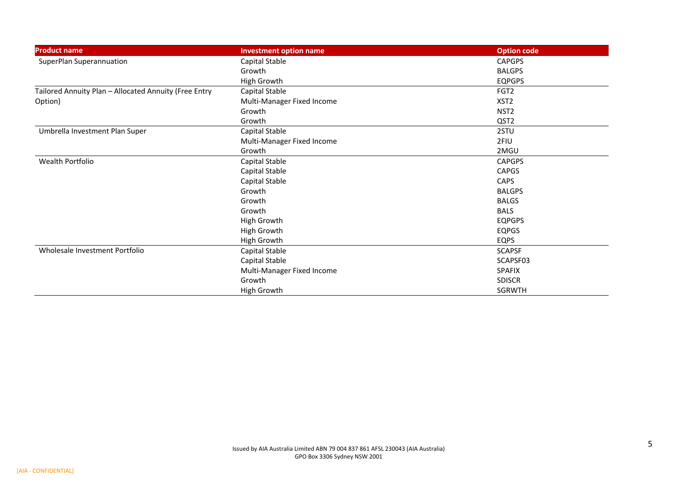| <b>Product name</b>                                   | <b>Investment option name</b> | <b>Option code</b> |
|-------------------------------------------------------|-------------------------------|--------------------|
| SuperPlan Superannuation                              | Capital Stable                | <b>CAPGPS</b>      |
|                                                       | Growth                        | <b>BALGPS</b>      |
|                                                       | High Growth                   | <b>EQPGPS</b>      |
| Tailored Annuity Plan - Allocated Annuity (Free Entry | Capital Stable                | FGT <sub>2</sub>   |
| Option)                                               | Multi-Manager Fixed Income    | XST <sub>2</sub>   |
|                                                       | Growth                        | NST <sub>2</sub>   |
|                                                       | Growth                        | QST <sub>2</sub>   |
| Umbrella Investment Plan Super                        | Capital Stable                | 2STU               |
|                                                       | Multi-Manager Fixed Income    | 2FIU               |
|                                                       | Growth                        | 2MGU               |
| Wealth Portfolio                                      | Capital Stable                | <b>CAPGPS</b>      |
|                                                       | Capital Stable                | <b>CAPGS</b>       |
|                                                       | Capital Stable                | <b>CAPS</b>        |
|                                                       | Growth                        | <b>BALGPS</b>      |
|                                                       | Growth                        | <b>BALGS</b>       |
|                                                       | Growth                        | <b>BALS</b>        |
|                                                       | High Growth                   | <b>EQPGPS</b>      |
|                                                       | High Growth                   | <b>EQPGS</b>       |
|                                                       | High Growth                   | <b>EQPS</b>        |
| Wholesale Investment Portfolio                        | Capital Stable                | <b>SCAPSF</b>      |
|                                                       | Capital Stable                | SCAPSF03           |
|                                                       | Multi-Manager Fixed Income    | <b>SPAFIX</b>      |
|                                                       | Growth                        | <b>SDISCR</b>      |
|                                                       | High Growth                   | SGRWTH             |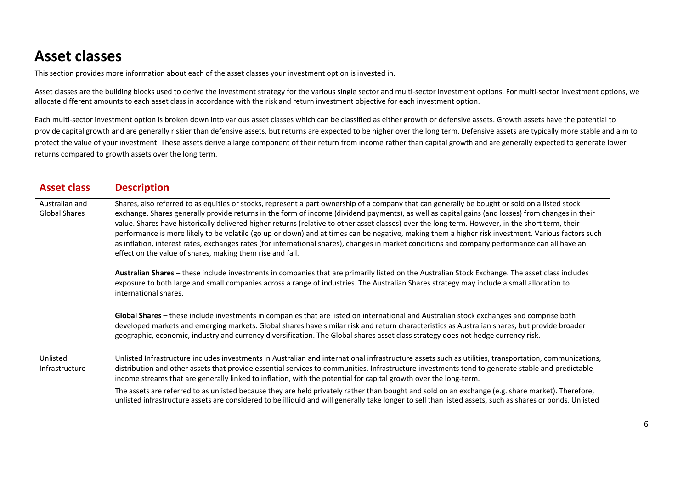## **Asset classes**

This section provides more information about each of the asset classes your investment option is invested in.

Asset classes are the building blocks used to derive the investment strategy for the various single sector and multi-sector investment options. For multi-sector investment options, we allocate different amounts to each asset class in accordance with the risk and return investment objective for each investment option.

Each multi-sector investment option is broken down into various asset classes which can be classified as either growth or defensive assets. Growth assets have the potential to provide capital growth and are generally riskier than defensive assets, but returns are expected to be higher over the long term. Defensive assets are typically more stable and aim to protect the value of your investment. These assets derive a large component of their return from income rather than capital growth and are generally expected to generate lower returns compared to growth assets over the long term.

| <b>Asset class</b>                     | <b>Description</b>                                                                                                                                                                                                                                                                                                                                                                                                                                                                                                                                                                                                                                                                                                                                                                                                           |
|----------------------------------------|------------------------------------------------------------------------------------------------------------------------------------------------------------------------------------------------------------------------------------------------------------------------------------------------------------------------------------------------------------------------------------------------------------------------------------------------------------------------------------------------------------------------------------------------------------------------------------------------------------------------------------------------------------------------------------------------------------------------------------------------------------------------------------------------------------------------------|
| Australian and<br><b>Global Shares</b> | Shares, also referred to as equities or stocks, represent a part ownership of a company that can generally be bought or sold on a listed stock<br>exchange. Shares generally provide returns in the form of income (dividend payments), as well as capital gains (and losses) from changes in their<br>value. Shares have historically delivered higher returns (relative to other asset classes) over the long term. However, in the short term, their<br>performance is more likely to be volatile (go up or down) and at times can be negative, making them a higher risk investment. Various factors such<br>as inflation, interest rates, exchanges rates (for international shares), changes in market conditions and company performance can all have an<br>effect on the value of shares, making them rise and fall. |
|                                        | Australian Shares - these include investments in companies that are primarily listed on the Australian Stock Exchange. The asset class includes<br>exposure to both large and small companies across a range of industries. The Australian Shares strategy may include a small allocation to<br>international shares.                                                                                                                                                                                                                                                                                                                                                                                                                                                                                                        |
|                                        | Global Shares - these include investments in companies that are listed on international and Australian stock exchanges and comprise both<br>developed markets and emerging markets. Global shares have similar risk and return characteristics as Australian shares, but provide broader<br>geographic, economic, industry and currency diversification. The Global shares asset class strategy does not hedge currency risk.                                                                                                                                                                                                                                                                                                                                                                                                |
| Unlisted<br>Infrastructure             | Unlisted Infrastructure includes investments in Australian and international infrastructure assets such as utilities, transportation, communications,<br>distribution and other assets that provide essential services to communities. Infrastructure investments tend to generate stable and predictable<br>income streams that are generally linked to inflation, with the potential for capital growth over the long-term.                                                                                                                                                                                                                                                                                                                                                                                                |
|                                        | The assets are referred to as unlisted because they are held privately rather than bought and sold on an exchange (e.g. share market). Therefore,<br>unlisted infrastructure assets are considered to be illiquid and will generally take longer to sell than listed assets, such as shares or bonds. Unlisted                                                                                                                                                                                                                                                                                                                                                                                                                                                                                                               |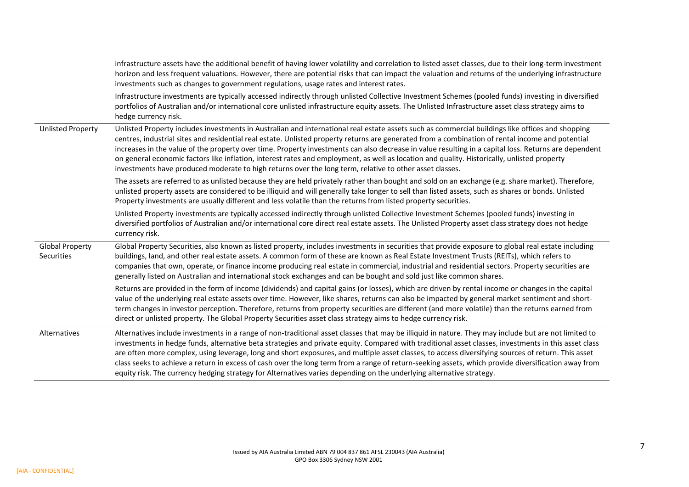|                                      | infrastructure assets have the additional benefit of having lower volatility and correlation to listed asset classes, due to their long-term investment<br>horizon and less frequent valuations. However, there are potential risks that can impact the valuation and returns of the underlying infrastructure<br>investments such as changes to government regulations, usage rates and interest rates.                                                                                                                                                                                                                                                                                                                                          |
|--------------------------------------|---------------------------------------------------------------------------------------------------------------------------------------------------------------------------------------------------------------------------------------------------------------------------------------------------------------------------------------------------------------------------------------------------------------------------------------------------------------------------------------------------------------------------------------------------------------------------------------------------------------------------------------------------------------------------------------------------------------------------------------------------|
|                                      | Infrastructure investments are typically accessed indirectly through unlisted Collective Investment Schemes (pooled funds) investing in diversified<br>portfolios of Australian and/or international core unlisted infrastructure equity assets. The Unlisted Infrastructure asset class strategy aims to<br>hedge currency risk.                                                                                                                                                                                                                                                                                                                                                                                                                 |
| <b>Unlisted Property</b>             | Unlisted Property includes investments in Australian and international real estate assets such as commercial buildings like offices and shopping<br>centres, industrial sites and residential real estate. Unlisted property returns are generated from a combination of rental income and potential<br>increases in the value of the property over time. Property investments can also decrease in value resulting in a capital loss. Returns are dependent<br>on general economic factors like inflation, interest rates and employment, as well as location and quality. Historically, unlisted property<br>investments have produced moderate to high returns over the long term, relative to other asset classes.                            |
|                                      | The assets are referred to as unlisted because they are held privately rather than bought and sold on an exchange (e.g. share market). Therefore,<br>unlisted property assets are considered to be illiquid and will generally take longer to sell than listed assets, such as shares or bonds. Unlisted<br>Property investments are usually different and less volatile than the returns from listed property securities.                                                                                                                                                                                                                                                                                                                        |
|                                      | Unlisted Property investments are typically accessed indirectly through unlisted Collective Investment Schemes (pooled funds) investing in<br>diversified portfolios of Australian and/or international core direct real estate assets. The Unlisted Property asset class strategy does not hedge<br>currency risk.                                                                                                                                                                                                                                                                                                                                                                                                                               |
| <b>Global Property</b><br>Securities | Global Property Securities, also known as listed property, includes investments in securities that provide exposure to global real estate including<br>buildings, land, and other real estate assets. A common form of these are known as Real Estate Investment Trusts (REITs), which refers to<br>companies that own, operate, or finance income producing real estate in commercial, industrial and residential sectors. Property securities are<br>generally listed on Australian and international stock exchanges and can be bought and sold just like common shares.                                                                                                                                                                       |
|                                      | Returns are provided in the form of income (dividends) and capital gains (or losses), which are driven by rental income or changes in the capital<br>value of the underlying real estate assets over time. However, like shares, returns can also be impacted by general market sentiment and short-<br>term changes in investor perception. Therefore, returns from property securities are different (and more volatile) than the returns earned from<br>direct or unlisted property. The Global Property Securities asset class strategy aims to hedge currency risk.                                                                                                                                                                          |
| Alternatives                         | Alternatives include investments in a range of non-traditional asset classes that may be illiquid in nature. They may include but are not limited to<br>investments in hedge funds, alternative beta strategies and private equity. Compared with traditional asset classes, investments in this asset class<br>are often more complex, using leverage, long and short exposures, and multiple asset classes, to access diversifying sources of return. This asset<br>class seeks to achieve a return in excess of cash over the long term from a range of return-seeking assets, which provide diversification away from<br>equity risk. The currency hedging strategy for Alternatives varies depending on the underlying alternative strategy. |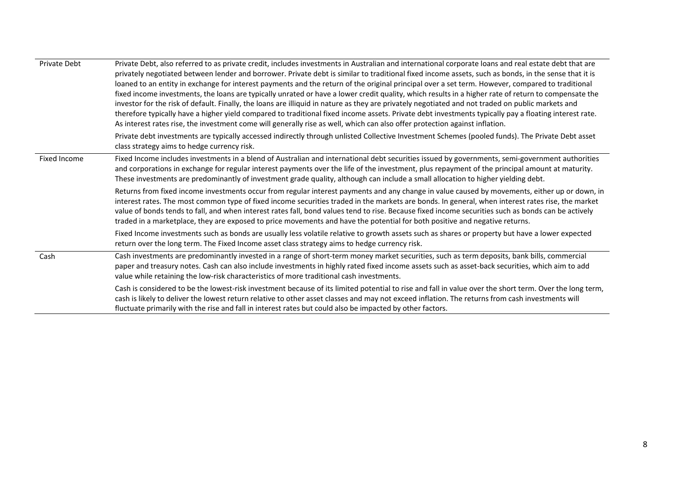| <b>Private Debt</b> | Private Debt, also referred to as private credit, includes investments in Australian and international corporate loans and real estate debt that are<br>privately negotiated between lender and borrower. Private debt is similar to traditional fixed income assets, such as bonds, in the sense that it is<br>loaned to an entity in exchange for interest payments and the return of the original principal over a set term. However, compared to traditional<br>fixed income investments, the loans are typically unrated or have a lower credit quality, which results in a higher rate of return to compensate the<br>investor for the risk of default. Finally, the loans are illiquid in nature as they are privately negotiated and not traded on public markets and<br>therefore typically have a higher yield compared to traditional fixed income assets. Private debt investments typically pay a floating interest rate.<br>As interest rates rise, the investment come will generally rise as well, which can also offer protection against inflation. |
|---------------------|-----------------------------------------------------------------------------------------------------------------------------------------------------------------------------------------------------------------------------------------------------------------------------------------------------------------------------------------------------------------------------------------------------------------------------------------------------------------------------------------------------------------------------------------------------------------------------------------------------------------------------------------------------------------------------------------------------------------------------------------------------------------------------------------------------------------------------------------------------------------------------------------------------------------------------------------------------------------------------------------------------------------------------------------------------------------------|
|                     | Private debt investments are typically accessed indirectly through unlisted Collective Investment Schemes (pooled funds). The Private Debt asset<br>class strategy aims to hedge currency risk.                                                                                                                                                                                                                                                                                                                                                                                                                                                                                                                                                                                                                                                                                                                                                                                                                                                                       |
| Fixed Income        | Fixed Income includes investments in a blend of Australian and international debt securities issued by governments, semi-government authorities<br>and corporations in exchange for regular interest payments over the life of the investment, plus repayment of the principal amount at maturity.<br>These investments are predominantly of investment grade quality, although can include a small allocation to higher yielding debt.                                                                                                                                                                                                                                                                                                                                                                                                                                                                                                                                                                                                                               |
|                     | Returns from fixed income investments occur from regular interest payments and any change in value caused by movements, either up or down, in<br>interest rates. The most common type of fixed income securities traded in the markets are bonds. In general, when interest rates rise, the market<br>value of bonds tends to fall, and when interest rates fall, bond values tend to rise. Because fixed income securities such as bonds can be actively<br>traded in a marketplace, they are exposed to price movements and have the potential for both positive and negative returns.                                                                                                                                                                                                                                                                                                                                                                                                                                                                              |
|                     | Fixed Income investments such as bonds are usually less volatile relative to growth assets such as shares or property but have a lower expected<br>return over the long term. The Fixed Income asset class strategy aims to hedge currency risk.                                                                                                                                                                                                                                                                                                                                                                                                                                                                                                                                                                                                                                                                                                                                                                                                                      |
| Cash                | Cash investments are predominantly invested in a range of short-term money market securities, such as term deposits, bank bills, commercial<br>paper and treasury notes. Cash can also include investments in highly rated fixed income assets such as asset-back securities, which aim to add<br>value while retaining the low-risk characteristics of more traditional cash investments.                                                                                                                                                                                                                                                                                                                                                                                                                                                                                                                                                                                                                                                                            |
|                     | Cash is considered to be the lowest-risk investment because of its limited potential to rise and fall in value over the short term. Over the long term,<br>cash is likely to deliver the lowest return relative to other asset classes and may not exceed inflation. The returns from cash investments will<br>fluctuate primarily with the rise and fall in interest rates but could also be impacted by other factors.                                                                                                                                                                                                                                                                                                                                                                                                                                                                                                                                                                                                                                              |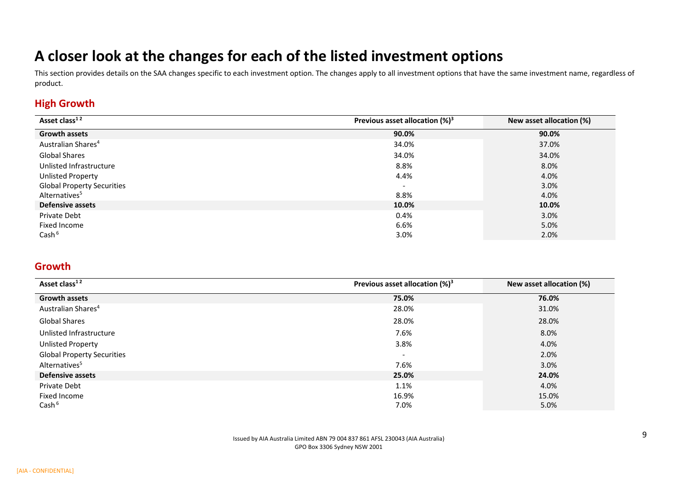## **A closer look at the changes for each of the listed investment options**

This section provides details on the SAA changes specific to each investment option. The changes apply to all investment options that have the same investment name, regardless of product.

#### **High Growth**

| Asset class <sup>12</sup>         | Previous asset allocation $(\%)^3$ | New asset allocation (%) |
|-----------------------------------|------------------------------------|--------------------------|
| <b>Growth assets</b>              | 90.0%                              | 90.0%                    |
| Australian Shares <sup>4</sup>    | 34.0%                              | 37.0%                    |
| Global Shares                     | 34.0%                              | 34.0%                    |
| Unlisted Infrastructure           | 8.8%                               | 8.0%                     |
| <b>Unlisted Property</b>          | 4.4%                               | 4.0%                     |
| <b>Global Property Securities</b> | $\overline{\phantom{0}}$           | 3.0%                     |
| Alternatives <sup>5</sup>         | 8.8%                               | 4.0%                     |
| <b>Defensive assets</b>           | 10.0%                              | 10.0%                    |
| Private Debt                      | 0.4%                               | 3.0%                     |
| Fixed Income                      | 6.6%                               | 5.0%                     |
| Cash $6$                          | 3.0%                               | 2.0%                     |

#### **Growth**

| Asset class <sup>12</sup>         | Previous asset allocation $(%)^3$ | New asset allocation (%) |
|-----------------------------------|-----------------------------------|--------------------------|
| <b>Growth assets</b>              | 75.0%                             | 76.0%                    |
| Australian Shares <sup>4</sup>    | 28.0%                             | 31.0%                    |
| <b>Global Shares</b>              | 28.0%                             | 28.0%                    |
| Unlisted Infrastructure           | 7.6%                              | 8.0%                     |
| Unlisted Property                 | 3.8%                              | 4.0%                     |
| <b>Global Property Securities</b> | $\overline{\phantom{a}}$          | 2.0%                     |
| Alternatives <sup>5</sup>         | 7.6%                              | 3.0%                     |
| <b>Defensive assets</b>           | 25.0%                             | 24.0%                    |
| Private Debt                      | 1.1%                              | 4.0%                     |
| Fixed Income                      | 16.9%                             | 15.0%                    |
| Cash $6$                          | 7.0%                              | 5.0%                     |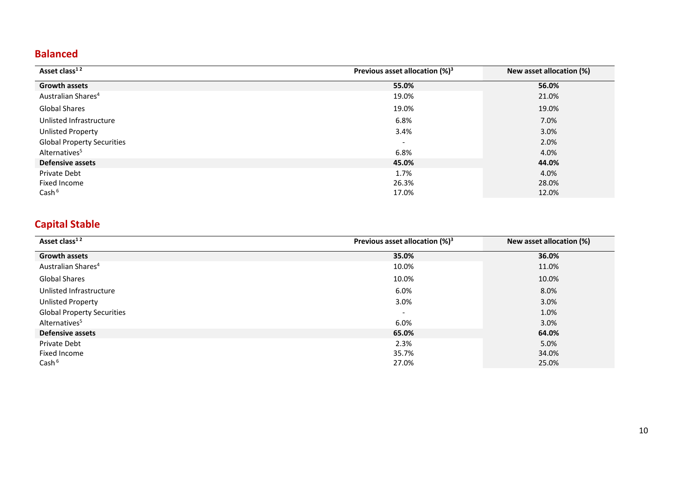#### **Balanced**

| Asset class <sup>12</sup>         | Previous asset allocation $(%)^3$ | New asset allocation (%) |
|-----------------------------------|-----------------------------------|--------------------------|
| <b>Growth assets</b>              | 55.0%                             | 56.0%                    |
| Australian Shares <sup>4</sup>    | 19.0%                             | 21.0%                    |
| <b>Global Shares</b>              | 19.0%                             | 19.0%                    |
| Unlisted Infrastructure           | 6.8%                              | 7.0%                     |
| <b>Unlisted Property</b>          | 3.4%                              | 3.0%                     |
| <b>Global Property Securities</b> | $\qquad \qquad \blacksquare$      | 2.0%                     |
| Alternatives <sup>5</sup>         | 6.8%                              | 4.0%                     |
| <b>Defensive assets</b>           | 45.0%                             | 44.0%                    |
| Private Debt                      | 1.7%                              | 4.0%                     |
| Fixed Income                      | 26.3%                             | 28.0%                    |
| Cash $6$                          | 17.0%                             | 12.0%                    |

### **Capital Stable**

| Asset class <sup>12</sup>         | Previous asset allocation $(\%)^3$ | New asset allocation (%) |
|-----------------------------------|------------------------------------|--------------------------|
| <b>Growth assets</b>              | 35.0%                              | 36.0%                    |
| Australian Shares <sup>4</sup>    | 10.0%                              | 11.0%                    |
| <b>Global Shares</b>              | 10.0%                              | 10.0%                    |
| Unlisted Infrastructure           | 6.0%                               | 8.0%                     |
| Unlisted Property                 | $3.0\%$                            | 3.0%                     |
| <b>Global Property Securities</b> | $\qquad \qquad =$                  | 1.0%                     |
| Alternatives <sup>5</sup>         | 6.0%                               | 3.0%                     |
| <b>Defensive assets</b>           | 65.0%                              | 64.0%                    |
| Private Debt                      | 2.3%                               | 5.0%                     |
| Fixed Income                      | 35.7%                              | 34.0%                    |
| Cash $6$                          | 27.0%                              | 25.0%                    |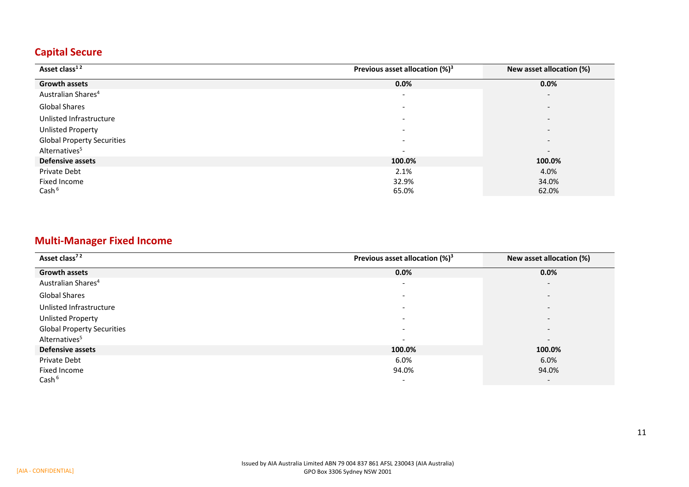#### **Capital Secure**

| Asset class <sup>12</sup>         | Previous asset allocation $(\%)^3$ | New asset allocation (%) |
|-----------------------------------|------------------------------------|--------------------------|
| <b>Growth assets</b>              | 0.0%                               | 0.0%                     |
| Australian Shares <sup>4</sup>    | $\overline{\phantom{a}}$           | $\overline{\phantom{a}}$ |
| Global Shares                     | $\overline{\phantom{0}}$           | $\overline{\phantom{0}}$ |
| Unlisted Infrastructure           | $\overline{\phantom{a}}$           | $\overline{\phantom{a}}$ |
| <b>Unlisted Property</b>          | $\overline{\phantom{a}}$           | $\overline{\phantom{a}}$ |
| <b>Global Property Securities</b> | $\overline{\phantom{a}}$           | $\overline{\phantom{a}}$ |
| Alternatives <sup>5</sup>         | $\qquad \qquad \blacksquare$       | $\overline{\phantom{0}}$ |
| <b>Defensive assets</b>           | 100.0%                             | 100.0%                   |
| Private Debt                      | 2.1%                               | 4.0%                     |
| Fixed Income                      | 32.9%                              | 34.0%                    |
| Cash $6$                          | 65.0%                              | 62.0%                    |

#### **Multi-Manager Fixed Income**

| Asset class <sup>72</sup>         | Previous asset allocation $(%)^3$ | New asset allocation (%) |
|-----------------------------------|-----------------------------------|--------------------------|
| <b>Growth assets</b>              | 0.0%                              | 0.0%                     |
| Australian Shares <sup>4</sup>    | $\overline{\phantom{a}}$          | $\overline{\phantom{a}}$ |
| Global Shares                     | $\sim$                            | $\overline{\phantom{0}}$ |
| Unlisted Infrastructure           | $\overline{\phantom{a}}$          | $\overline{\phantom{a}}$ |
| <b>Unlisted Property</b>          | $\overline{\phantom{a}}$          | $\overline{\phantom{0}}$ |
| <b>Global Property Securities</b> | $\overline{\phantom{a}}$          | $\overline{\phantom{a}}$ |
| Alternatives <sup>5</sup>         | $\overline{\phantom{a}}$          | $\overline{\phantom{a}}$ |
| Defensive assets                  | 100.0%                            | 100.0%                   |
| Private Debt                      | 6.0%                              | 6.0%                     |
| Fixed Income                      | 94.0%                             | 94.0%                    |
| Cash <sup>6</sup>                 | $\overline{\phantom{a}}$          | $\overline{\phantom{a}}$ |